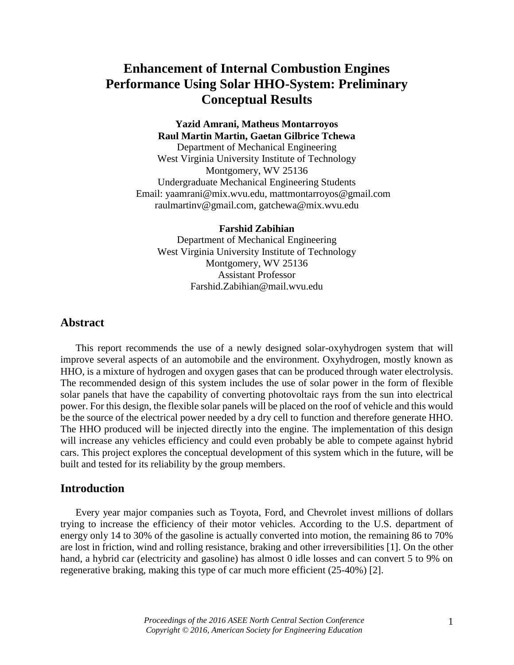# **Enhancement of Internal Combustion Engines Performance Using Solar HHO-System: Preliminary Conceptual Results**

# **Yazid Amrani, Matheus Montarroyos Raul Martin Martin, Gaetan Gilbrice Tchewa**

Department of Mechanical Engineering West Virginia University Institute of Technology Montgomery, WV 25136 Undergraduate Mechanical Engineering Students Email: [yaamrani@mix.wvu.edu,](mailto:yaamrani@mix.wvu.edu) mattmontarroyos@gmail.com [raulmartinv@gmail.com,](mailto:raulmartinv@gmail.com) gatchewa@mix.wvu.edu

**Farshid Zabihian** Department of Mechanical Engineering West Virginia University Institute of Technology Montgomery, WV 25136 Assistant Professor Farshid.Zabihian@mail.wvu.edu

## **Abstract**

This report recommends the use of a newly designed solar-oxyhydrogen system that will improve several aspects of an automobile and the environment. Oxyhydrogen, mostly known as HHO, is a mixture of hydrogen and oxygen gases that can be produced through water electrolysis. The recommended design of this system includes the use of solar power in the form of flexible solar panels that have the capability of converting photovoltaic rays from the sun into electrical power. For this design, the flexible solar panels will be placed on the roof of vehicle and this would be the source of the electrical power needed by a dry cell to function and therefore generate HHO. The HHO produced will be injected directly into the engine. The implementation of this design will increase any vehicles efficiency and could even probably be able to compete against hybrid cars. This project explores the conceptual development of this system which in the future, will be built and tested for its reliability by the group members.

### **Introduction**

Every year major companies such as Toyota, Ford, and Chevrolet invest millions of dollars trying to increase the efficiency of their motor vehicles. According to the U.S. department of energy only 14 to 30% of the gasoline is actually converted into motion, the remaining 86 to 70% are lost in friction, wind and rolling resistance, braking and other irreversibilities [1]. On the other hand, a hybrid car (electricity and gasoline) has almost 0 idle losses and can convert 5 to 9% on regenerative braking, making this type of car much more efficient (25-40%) [2].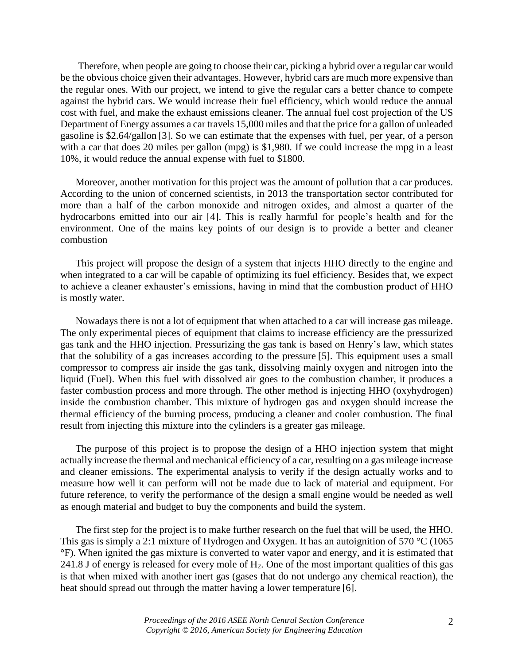Therefore, when people are going to choose their car, picking a hybrid over a regular car would be the obvious choice given their advantages. However, hybrid cars are much more expensive than the regular ones. With our project, we intend to give the regular cars a better chance to compete against the hybrid cars. We would increase their fuel efficiency, which would reduce the annual cost with fuel, and make the exhaust emissions cleaner. The annual fuel cost projection of the US Department of Energy assumes a car travels 15,000 miles and that the price for a gallon of unleaded gasoline is \$2.64/gallon [3]. So we can estimate that the expenses with fuel, per year, of a person with a car that does 20 miles per gallon (mpg) is \$1,980. If we could increase the mpg in a least 10%, it would reduce the annual expense with fuel to \$1800.

Moreover, another motivation for this project was the amount of pollution that a car produces. According to the union of concerned scientists, in 2013 the transportation sector contributed for more than a half of the carbon monoxide and nitrogen oxides, and almost a quarter of the hydrocarbons emitted into our air [4]. This is really harmful for people's health and for the environment. One of the mains key points of our design is to provide a better and cleaner combustion

This project will propose the design of a system that injects HHO directly to the engine and when integrated to a car will be capable of optimizing its fuel efficiency. Besides that, we expect to achieve a cleaner exhauster's emissions, having in mind that the combustion product of HHO is mostly water.

Nowadays there is not a lot of equipment that when attached to a car will increase gas mileage. The only experimental pieces of equipment that claims to increase efficiency are the pressurized gas tank and the HHO injection. Pressurizing the gas tank is based on Henry's law, which states that the solubility of a gas increases according to the pressure [5]. This equipment uses a small compressor to compress air inside the gas tank, dissolving mainly oxygen and nitrogen into the liquid (Fuel). When this fuel with dissolved air goes to the combustion chamber, it produces a faster combustion process and more through. The other method is injecting HHO (oxyhydrogen) inside the combustion chamber. This mixture of hydrogen gas and oxygen should increase the thermal efficiency of the burning process, producing a cleaner and cooler combustion. The final result from injecting this mixture into the cylinders is a greater gas mileage.

The purpose of this project is to propose the design of a HHO injection system that might actually increase the thermal and mechanical efficiency of a car, resulting on a gas mileage increase and cleaner emissions. The experimental analysis to verify if the design actually works and to measure how well it can perform will not be made due to lack of material and equipment. For future reference, to verify the performance of the design a small engine would be needed as well as enough material and budget to buy the components and build the system.

The first step for the project is to make further research on the fuel that will be used, the HHO. This gas is simply a 2:1 mixture of Hydrogen and Oxygen. It has an autoignition of 570 °C (1065) °F). When ignited the gas mixture is converted to water vapor and energy, and it is estimated that 241.8 J of energy is released for every mole of  $H_2$ . One of the most important qualities of this gas is that when mixed with another inert gas (gases that do not undergo any chemical reaction), the heat should spread out through the matter having a lower temperature [6].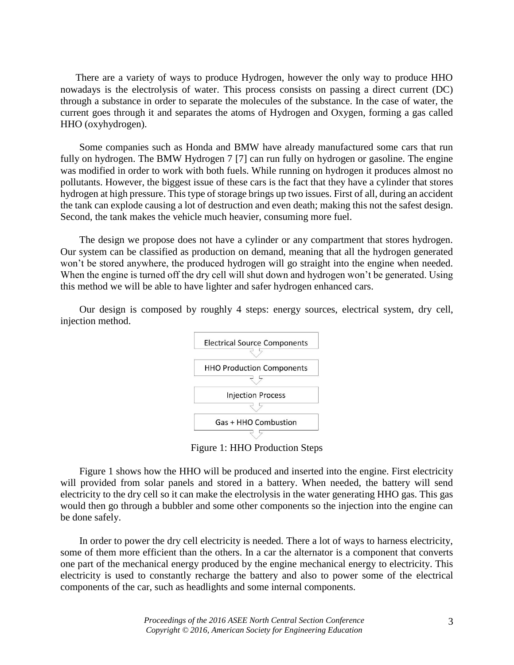There are a variety of ways to produce Hydrogen, however the only way to produce HHO nowadays is the electrolysis of water. This process consists on passing a direct current (DC) through a substance in order to separate the molecules of the substance. In the case of water, the current goes through it and separates the atoms of Hydrogen and Oxygen, forming a gas called HHO (oxyhydrogen).

Some companies such as Honda and BMW have already manufactured some cars that run fully on hydrogen. The BMW Hydrogen 7 [7] can run fully on hydrogen or gasoline. The engine was modified in order to work with both fuels. While running on hydrogen it produces almost no pollutants. However, the biggest issue of these cars is the fact that they have a cylinder that stores hydrogen at high pressure. This type of storage brings up two issues. First of all, during an accident the tank can explode causing a lot of destruction and even death; making this not the safest design. Second, the tank makes the vehicle much heavier, consuming more fuel.

The design we propose does not have a cylinder or any compartment that stores hydrogen. Our system can be classified as production on demand, meaning that all the hydrogen generated won't be stored anywhere, the produced hydrogen will go straight into the engine when needed. When the engine is turned off the dry cell will shut down and hydrogen won't be generated. Using this method we will be able to have lighter and safer hydrogen enhanced cars.

Our design is composed by roughly 4 steps: energy sources, electrical system, dry cell, injection method.



Figure 1: HHO Production Steps

Figure 1 shows how the HHO will be produced and inserted into the engine. First electricity will provided from solar panels and stored in a battery. When needed, the battery will send electricity to the dry cell so it can make the electrolysis in the water generating HHO gas. This gas would then go through a bubbler and some other components so the injection into the engine can be done safely.

In order to power the dry cell electricity is needed. There a lot of ways to harness electricity, some of them more efficient than the others. In a car the alternator is a component that converts one part of the mechanical energy produced by the engine mechanical energy to electricity. This electricity is used to constantly recharge the battery and also to power some of the electrical components of the car, such as headlights and some internal components.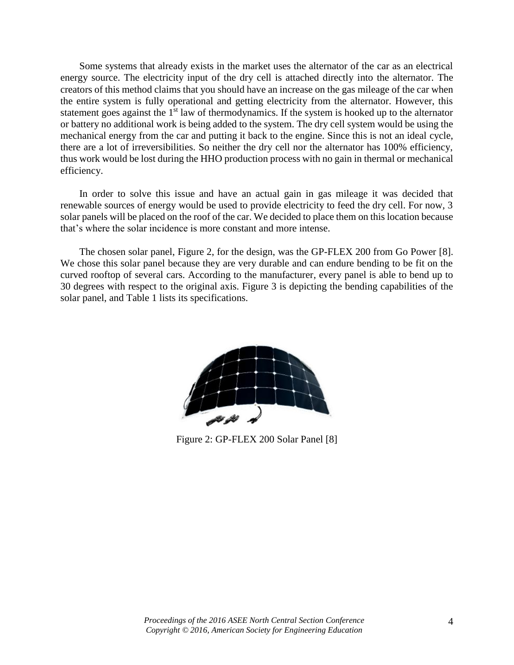Some systems that already exists in the market uses the alternator of the car as an electrical energy source. The electricity input of the dry cell is attached directly into the alternator. The creators of this method claims that you should have an increase on the gas mileage of the car when the entire system is fully operational and getting electricity from the alternator. However, this statement goes against the  $1<sup>st</sup>$  law of thermodynamics. If the system is hooked up to the alternator or battery no additional work is being added to the system. The dry cell system would be using the mechanical energy from the car and putting it back to the engine. Since this is not an ideal cycle, there are a lot of irreversibilities. So neither the dry cell nor the alternator has 100% efficiency, thus work would be lost during the HHO production process with no gain in thermal or mechanical efficiency.

In order to solve this issue and have an actual gain in gas mileage it was decided that renewable sources of energy would be used to provide electricity to feed the dry cell. For now, 3 solar panels will be placed on the roof of the car. We decided to place them on this location because that's where the solar incidence is more constant and more intense.

The chosen solar panel, Figure 2, for the design, was the GP-FLEX 200 from Go Power [8]. We chose this solar panel because they are very durable and can endure bending to be fit on the curved rooftop of several cars. According to the manufacturer, every panel is able to bend up to 30 degrees with respect to the original axis. Figure 3 is depicting the bending capabilities of the solar panel, and Table 1 lists its specifications.



Figure 2: GP-FLEX 200 Solar Panel [8]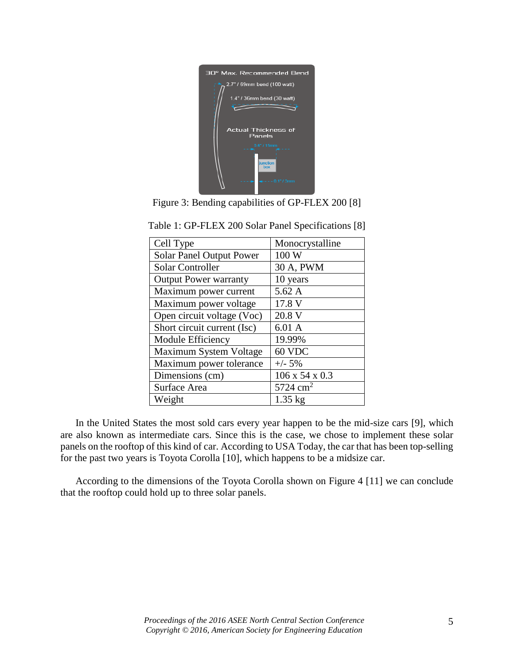

| Cell Type                       | Monocrystalline            |
|---------------------------------|----------------------------|
| <b>Solar Panel Output Power</b> | 100 W                      |
| <b>Solar Controller</b>         | 30 A, PWM                  |
| <b>Output Power warranty</b>    | 10 years                   |
| Maximum power current           | 5.62A                      |
| Maximum power voltage           | 17.8 V                     |
| Open circuit voltage (Voc)      | 20.8 V                     |
| Short circuit current (Isc)     | 6.01 A                     |
| Module Efficiency               | 19.99%                     |
| Maximum System Voltage          | 60 VDC                     |
| Maximum power tolerance         | $+/- 5%$                   |
| Dimensions (cm)                 | $106 \times 54 \times 0.3$ |
| Surface Area                    | $5724 \text{ cm}^2$        |
| Weight                          | $1.35$ kg                  |
|                                 |                            |

Table 1: GP-FLEX 200 Solar Panel Specifications [8]

In the United States the most sold cars every year happen to be the mid-size cars [9], which are also known as intermediate cars. Since this is the case, we chose to implement these solar panels on the rooftop of this kind of car. According to USA Today, the car that has been top-selling for the past two years is Toyota Corolla [10], which happens to be a midsize car.

According to the dimensions of the Toyota Corolla shown on Figure 4 [11] we can conclude that the rooftop could hold up to three solar panels.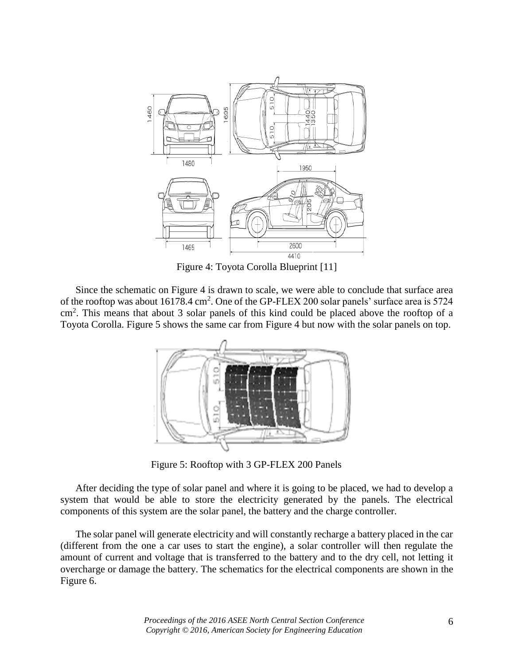

Figure 4: Toyota Corolla Blueprint [11]

Since the schematic on Figure 4 is drawn to scale, we were able to conclude that surface area of the rooftop was about 16178.4 cm<sup>2</sup>. One of the GP-FLEX 200 solar panels' surface area is 5724 cm<sup>2</sup>. This means that about 3 solar panels of this kind could be placed above the rooftop of a Toyota Corolla. Figure 5 shows the same car from Figure 4 but now with the solar panels on top.



Figure 5: Rooftop with 3 GP-FLEX 200 Panels

After deciding the type of solar panel and where it is going to be placed, we had to develop a system that would be able to store the electricity generated by the panels. The electrical components of this system are the solar panel, the battery and the charge controller.

The solar panel will generate electricity and will constantly recharge a battery placed in the car (different from the one a car uses to start the engine), a solar controller will then regulate the amount of current and voltage that is transferred to the battery and to the dry cell, not letting it overcharge or damage the battery. The schematics for the electrical components are shown in the Figure 6.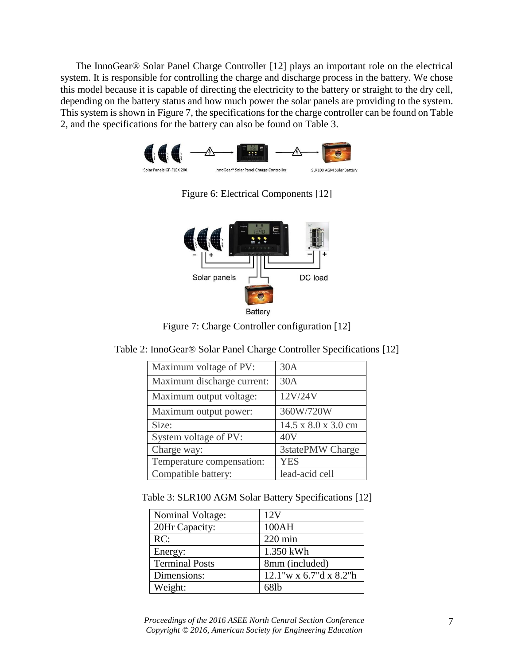The InnoGear® Solar Panel Charge Controller [12] plays an important role on the electrical system. It is responsible for controlling the charge and discharge process in the battery. We chose this model because it is capable of directing the electricity to the battery or straight to the dry cell, depending on the battery status and how much power the solar panels are providing to the system. This system is shown in Figure 7, the specifications for the charge controller can be found on Table 2, and the specifications for the battery can also be found on Table 3.



Figure 6: Electrical Components [12]



Figure 7: Charge Controller configuration [12]

Table 2: InnoGear® Solar Panel Charge Controller Specifications [12]

| Maximum voltage of PV:     | 30A                 |
|----------------------------|---------------------|
| Maximum discharge current: | 30A                 |
| Maximum output voltage:    | 12V/24V             |
| Maximum output power:      | 360W/720W           |
| Size:                      | 14.5 x 8.0 x 3.0 cm |
| System voltage of PV:      | 40V                 |
| Charge way:                | 3statePMW Charge    |
| Temperature compensation:  | <b>YES</b>          |
| Compatible battery:        | lead-acid cell      |

Table 3: SLR100 AGM Solar Battery Specifications [12]

| Nominal Voltage:      | 12V                    |
|-----------------------|------------------------|
| 20Hr Capacity:        | 100AH                  |
| RC:                   | $220$ min              |
| Energy:               | 1.350 kWh              |
| <b>Terminal Posts</b> | 8mm (included)         |
| Dimensions:           | 12.1"w x 6.7"d x 8.2"h |
| Weight:               | 681 <sub>b</sub>       |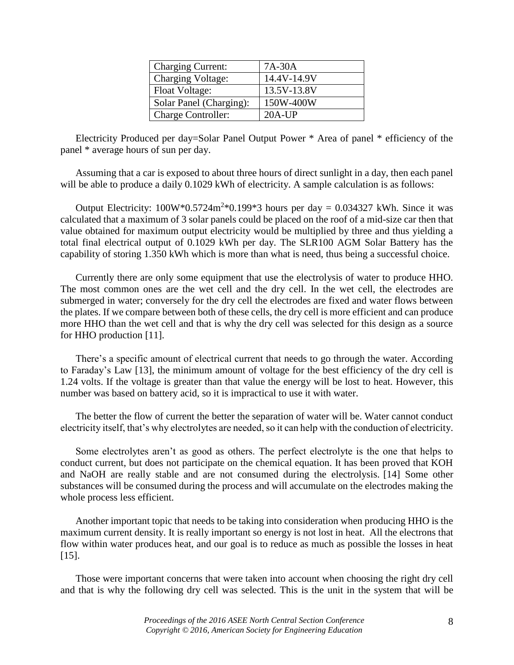| <b>Charging Current:</b>  | $7A-30A$    |
|---------------------------|-------------|
| <b>Charging Voltage:</b>  | 14.4V-14.9V |
| Float Voltage:            | 13.5V-13.8V |
| Solar Panel (Charging):   | 150W-400W   |
| <b>Charge Controller:</b> | $20A-UP$    |

Electricity Produced per day=Solar Panel Output Power \* Area of panel \* efficiency of the panel \* average hours of sun per day.

Assuming that a car is exposed to about three hours of direct sunlight in a day, then each panel will be able to produce a daily 0.1029 kWh of electricity. A sample calculation is as follows:

Output Electricity:  $100W*0.5724m^2*0.199*3$  hours per day = 0.034327 kWh. Since it was calculated that a maximum of 3 solar panels could be placed on the roof of a mid-size car then that value obtained for maximum output electricity would be multiplied by three and thus yielding a total final electrical output of 0.1029 kWh per day. The SLR100 AGM Solar Battery has the capability of storing 1.350 kWh which is more than what is need, thus being a successful choice.

Currently there are only some equipment that use the electrolysis of water to produce HHO. The most common ones are the wet cell and the dry cell. In the wet cell, the electrodes are submerged in water; conversely for the dry cell the electrodes are fixed and water flows between the plates. If we compare between both of these cells, the dry cell is more efficient and can produce more HHO than the wet cell and that is why the dry cell was selected for this design as a source for HHO production [11].

There's a specific amount of electrical current that needs to go through the water. According to Faraday's Law [13], the minimum amount of voltage for the best efficiency of the dry cell is 1.24 volts. If the voltage is greater than that value the energy will be lost to heat. However, this number was based on battery acid, so it is impractical to use it with water.

The better the flow of current the better the separation of water will be. Water cannot conduct electricity itself, that's why electrolytes are needed, so it can help with the conduction of electricity.

Some electrolytes aren't as good as others. The perfect electrolyte is the one that helps to conduct current, but does not participate on the chemical equation. It has been proved that KOH and NaOH are really stable and are not consumed during the electrolysis. [14] Some other substances will be consumed during the process and will accumulate on the electrodes making the whole process less efficient.

Another important topic that needs to be taking into consideration when producing HHO is the maximum current density. It is really important so energy is not lost in heat. All the electrons that flow within water produces heat, and our goal is to reduce as much as possible the losses in heat [15].

Those were important concerns that were taken into account when choosing the right dry cell and that is why the following dry cell was selected. This is the unit in the system that will be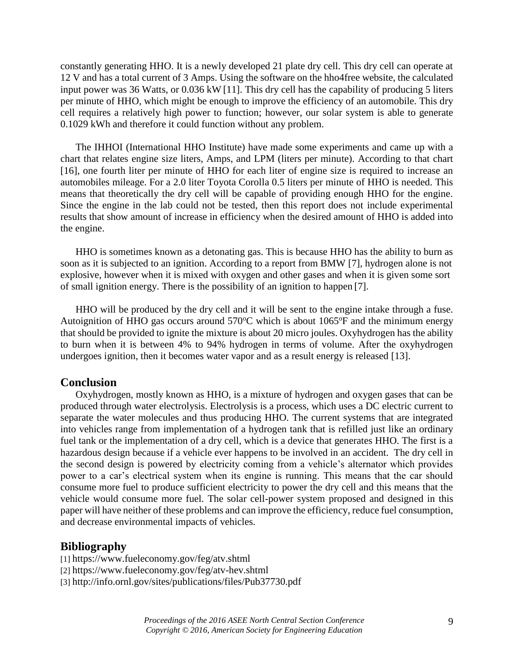constantly generating HHO. It is a newly developed 21 plate dry cell. This dry cell can operate at 12 V and has a total current of 3 Amps. Using the software on the hho4free website, the calculated input power was 36 Watts, or 0.036 kW [11]. This dry cell has the capability of producing 5 liters per minute of HHO, which might be enough to improve the efficiency of an automobile. This dry cell requires a relatively high power to function; however, our solar system is able to generate 0.1029 kWh and therefore it could function without any problem.

The IHHOI (International HHO Institute) have made some experiments and came up with a chart that relates engine size liters, Amps, and LPM (liters per minute). According to that chart [16], one fourth liter per minute of HHO for each liter of engine size is required to increase an automobiles mileage. For a 2.0 liter Toyota Corolla 0.5 liters per minute of HHO is needed. This means that theoretically the dry cell will be capable of providing enough HHO for the engine. Since the engine in the lab could not be tested, then this report does not include experimental results that show amount of increase in efficiency when the desired amount of HHO is added into the engine.

HHO is sometimes known as a detonating gas. This is because HHO has the ability to burn as soon as it is subjected to an ignition. According to a report from BMW [7], hydrogen alone is not explosive, however when it is mixed with oxygen and other gases and when it is given some sort of small ignition energy. There is the possibility of an ignition to happen [7].

HHO will be produced by the dry cell and it will be sent to the engine intake through a fuse. Autoignition of HHO gas occurs around  $570^{\circ}$ C which is about  $1065^{\circ}$ F and the minimum energy that should be provided to ignite the mixture is about 20 micro joules. Oxyhydrogen has the ability to burn when it is between 4% to 94% hydrogen in terms of volume. After the oxyhydrogen undergoes ignition, then it becomes water vapor and as a result energy is released [13].

#### **Conclusion**

Oxyhydrogen, mostly known as HHO, is a mixture of hydrogen and oxygen gases that can be produced through water electrolysis. Electrolysis is a process, which uses a DC electric current to separate the water molecules and thus producing HHO. The current systems that are integrated into vehicles range from implementation of a hydrogen tank that is refilled just like an ordinary fuel tank or the implementation of a dry cell, which is a device that generates HHO. The first is a hazardous design because if a vehicle ever happens to be involved in an accident. The dry cell in the second design is powered by electricity coming from a vehicle's alternator which provides power to a car's electrical system when its engine is running. This means that the car should consume more fuel to produce sufficient electricity to power the dry cell and this means that the vehicle would consume more fuel. The solar cell-power system proposed and designed in this paper will have neither of these problems and can improve the efficiency, reduce fuel consumption, and decrease environmental impacts of vehicles.

#### **Bibliography**

- [1] <https://www.fueleconomy.gov/feg/atv.shtml>
- [2] <https://www.fueleconomy.gov/feg/atv-hev.shtml>
- [3] <http://info.ornl.gov/sites/publications/files/Pub37730.pdf>